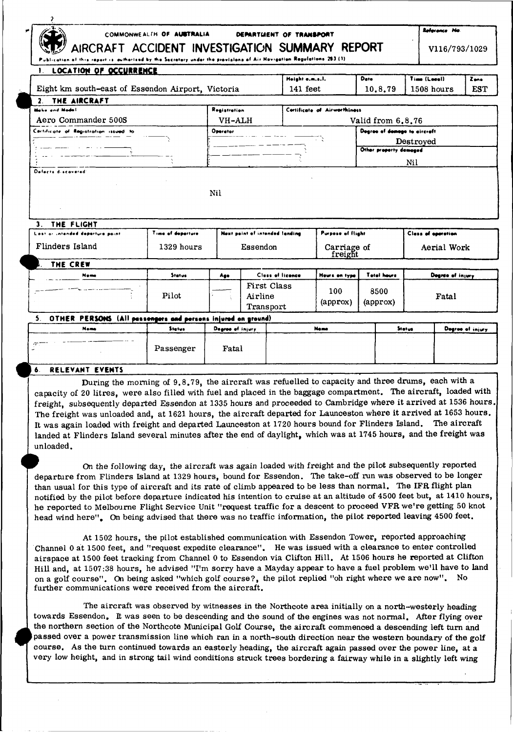| مو<br>COMMONWEALTH OF AUSTRALIA<br>DEPARTMENT OF TRANSPORT<br>AIRCRAFT ACCIDENT INVESTIGATION SUMMARY REPORT<br>of this report is outhorised by the Sacretery under the previsions of Air Novigation Regulations 203 (1) |                                   |                  |                                            |                   |                              |                        | Reference No<br>V116/793/1029 |                  |            |  |
|--------------------------------------------------------------------------------------------------------------------------------------------------------------------------------------------------------------------------|-----------------------------------|------------------|--------------------------------------------|-------------------|------------------------------|------------------------|-------------------------------|------------------|------------|--|
| <b>LOCATION OF OCCURRENCE</b><br>1.                                                                                                                                                                                      |                                   |                  |                                            | Height e.m.s.l.   |                              | Date                   | Time (Local)                  |                  | Zene       |  |
| Eight km south-east of Essendon Airport, Victoria                                                                                                                                                                        |                                   |                  |                                            |                   | 141 feet                     | 10,8,79                | 1508 hours                    |                  | <b>EST</b> |  |
| THE AIRCRAFT<br>2 <sub>1</sub>                                                                                                                                                                                           |                                   |                  |                                            |                   |                              |                        |                               |                  |            |  |
| Make and Model                                                                                                                                                                                                           |                                   | Registration     |                                            |                   | Cortificate of Airworthiness |                        |                               |                  |            |  |
| Aero Commander 500S                                                                                                                                                                                                      | VH-ALH                            |                  |                                            | Valid from 6.8.76 |                              |                        |                               |                  |            |  |
| Cartificate of Registration issued to                                                                                                                                                                                    |                                   | Operator         |                                            |                   | Degree of domage to aircraft |                        |                               |                  |            |  |
|                                                                                                                                                                                                                          |                                   |                  |                                            |                   |                              |                        | Destroyed                     |                  |            |  |
|                                                                                                                                                                                                                          |                                   |                  |                                            |                   |                              | Other property damaged |                               |                  |            |  |
|                                                                                                                                                                                                                          |                                   |                  |                                            |                   |                              |                        | Nil                           |                  |            |  |
|                                                                                                                                                                                                                          |                                   | N <sub>i</sub> l |                                            |                   |                              |                        |                               |                  |            |  |
|                                                                                                                                                                                                                          |                                   |                  |                                            |                   |                              |                        |                               |                  |            |  |
| $\mathbf{3}$ .<br>THE FLIGHT                                                                                                                                                                                             |                                   |                  |                                            |                   |                              |                        |                               |                  |            |  |
| Lost or intended departure paint<br>Flinders Island                                                                                                                                                                      | Time of departure<br>$1329$ hours |                  | Next point of intended landing<br>Essendon |                   | <b>Purpose of flight</b>     |                        | <b>Class of operation</b>     | Aerial Work      |            |  |
| THE CREW                                                                                                                                                                                                                 |                                   |                  |                                            |                   | Carriage of<br>freight       |                        |                               |                  |            |  |
| Nome                                                                                                                                                                                                                     | Status                            | Ago              |                                            | Class of licence  | Hours on type                | <b>Total hours</b>     |                               | Degree of injury |            |  |
|                                                                                                                                                                                                                          | Pilot                             |                  | <b>First Class</b><br>Airline<br>Transport |                   | 100<br>(approx)              | 8500<br>(approx)       |                               | Fatal            |            |  |
| 5. OTHER PERSONS (All pessengers and persons injured on ground)                                                                                                                                                          |                                   |                  |                                            |                   |                              |                        |                               |                  |            |  |

## RELEVANT EVENTS

Passenger

During the morning of 9.8.79, the aircraft was refuelled to capacity and three drums, each with a capacity of 20 litres, were also filled with fuel and placed in the baggage compartment. The aircraft, loaded with freight, subsequently departed Essendon at 1335 hours and proceeded to Cambridge where it arrived at 1536 hours. The freight was unloaded and, at 1621 hours, the aircraft departed for Launceston where it arrived at 1653 hours. It was again loaded with freight and departed Launceston at 1720 hours bound for Flinders Island. The aircraft landed at Flinders Island several minutes after the end of daylight, which was at 1745 hours, and the freight was unloaded.

Fatal

On the following day, the aircraft was again loaded with freight and the pilot subsequently reported departure from Flinders Island at 1329 hours, bound for Essendon. The take-off run was observed to be longer than usual for this type of aircraft and its rate of climb appeared to be less than normal. The IFR flight plan notified by the pilot before departure indicated his intention to cruise at an altitude of 4500 feet but, at 1410 hours, he reported to Melbourne Flight Service Unit "request traffic for a descent to proceed VFR we're getting 50 knot head wind here". On being advised that there was no traffic information, the pilot reported leaving 4500 feet.

At 1502 hours, the pilot established communication with Essendon Tower, reported approaching Channel 0 at 1500 feet, and "request expedite clearance". He was issued with a clearance to enter controlled airspace at 1500 feet tracking from Channel 0 to Essendon via Clifton Hill. At 1506 hours he reported at Clifton Hill and, at 1507:38 hours, he advised "I'm sorry have a Mayday appear to have a fuel problem we'll have to land on a golf course". On being asked "which golf course?, the pilot replied "oh right where we are now". No further communications were received from the aircraft.

The aircraft was observed by witnesses in the Northcote area initially on a north-westerly heading towards Essendon. It was seen to be descending and the sound of the engines was not normal. After flying over the northern section of the Northcote Municipal Golf Course, the aircraft commenced a descending left turn and passed over a power transmission line which ran in a north-south direction near the western boundary of the golf course. As the turn continued towards an easterly heading, the aircraft again passed over the power line, at a very low height, and in strong tail wind conditions struck trees bordering a fairway while in a slightly left wing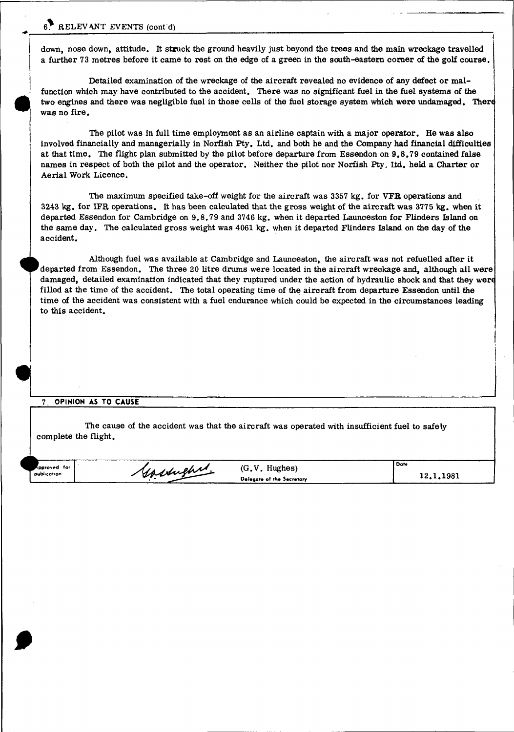## 6. RELEVANT EVENTS (cont d)

down, nose down, attitude. It struck the ground heavily just beyond the trees and the main wreckage travelled a further 73 metres before it came to rest on the edge of a green in the south-eastern corner of the golf course.

Detailed examination of the wreckage of the aircraft revealed no evidence of any defect or malfunction which may have contributed to the accident. There was no significant fuel in the fuel systems of the two engines and there was negligible fuel in those cells of the fuel storage system which were undamaged. There was no fire.

The pilot was in full time employment as an airline captain with a major operator. He was also involved financially and managerially in Norfish Pty. Ltd. and both he and the Company had financial difficulties at that time. The flight plan submitted by the pilot before departure from Essendon on 9.8.79 contained false names in respect of both the pilot and the operator. Neither the pilot nor Norfish Pty. lid. held a Charter or Aerial Work Licence.

The maximum specified take-off weight for the aircraft was 3357 kg. for VFR operations and 3243 kg. for IFR operations. It has been calculated that the gross weight of the aircraft was 3775 kg. when it departed Essendon for Cambridge on 9.8.79 and 3746 kg. when it departed Launceston for Flinders Island on the same day. The calculated gross weight was 4061 kg. when it departed Flinders Island on the day of the accident.

Although fuel was available at Cambridge and Launceston, the aircraft was not refuelled after it 'departed from Essendon. The three 20 litre drums were located in the aircraft wreckage and, although all were damaged, detailed examination indicated that they ruptured under the action of hydraulic shock and that they werd filled at the time of the accident. The total operating time of the aircraft from departure Essendon until the time of the accident was consistent with a fuel endurance which could be expected in the circumstances leading to this accident.

## 7. OPINION **AS** TO **CAUSE**

The cause of the accident was that the aircraft was operated with insufficient fuel to safely complete the flight.

Governand.

'<br>**pproved** for **publication**

 $\begin{array}{c} \begin{array}{c} \hline \end{array} \\ \hline \end{array}$ 

(G.V. Hughes) **Dalvgote of fh« Secretary**

**12.1.1981**

**Date**

-I